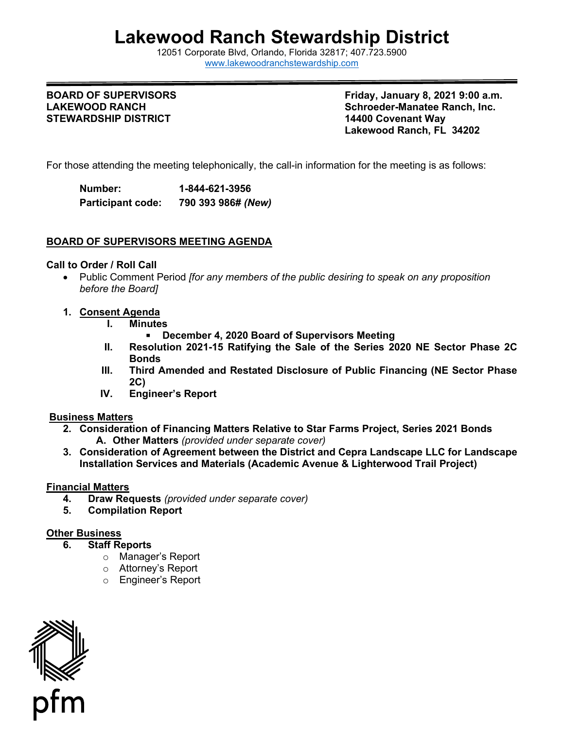# **Lakewood Ranch Stewardship District**

12051 Corporate Blvd, Orlando, Florida 32817; 407.723.5900 [www.lakewoodranchstewardship.com](http://www.lakewoodranchstewardship.com/) 

#### **BOARD OF SUPERVISORS LAKEWOOD RANCH STEWARDSHIP DISTRICT**

**BOARD OF SUPERVISORS Friday, January 8, 2021 9:00 a.m. Schroeder-Manatee Ranch, Inc. 14400 Covenant Way Lakewood Ranch, FL 34202** 

For those attending the meeting telephonically, the call-in information for the meeting is as follows:

Number: **Participant code: Number: 1-844-621-3956 Participant code: 790 393 986#** *(New)*

### **BOARD OF SUPERVISORS MEETING AGENDA**

#### **Call to Order / Roll Call**

- Public Comment Period *[for any members of the public desiring to speak on any proposition before the Board]*
- **1. Consent Agenda**
	- **I. Minutes**

**December 4, 2020 Board of Supervisors Meeting** 

- **Bonds December 4, 2020 Board of Supervisors Meeting • December 4, 2020 Board of Supervisors Meeting • II.**<br>II. Resolution 2021-15 Ratifying the Sale of the Series 2020 NE Sector Phase 2C
- **III.** 2C) **Third Amended and Restated Disclosure of Public Financing (NE Sector Phase**
- **2C) IV. Engineer's Report**

#### **Business Matters**

- **2. Consideration of Financing Matters Relative to Star Farms Project, Series 2021 Bonds A. Other Matters** *(provided under separate cover)*
- **3. Consideration of Agreement between the District and Cepra Landscape LLC for Landscape Installation Services and Materials (Academic Avenue & Lighterwood Trail Project)**

#### **Financial Matters**

- **4. Draw Requests** *(provided under separate cover)*
- **5. Compilation Report**

## **Other Business**

- **6. Staff Reports** 
	- o Manager's Report
	- o Attorney's Report
	- o Engineer's Report